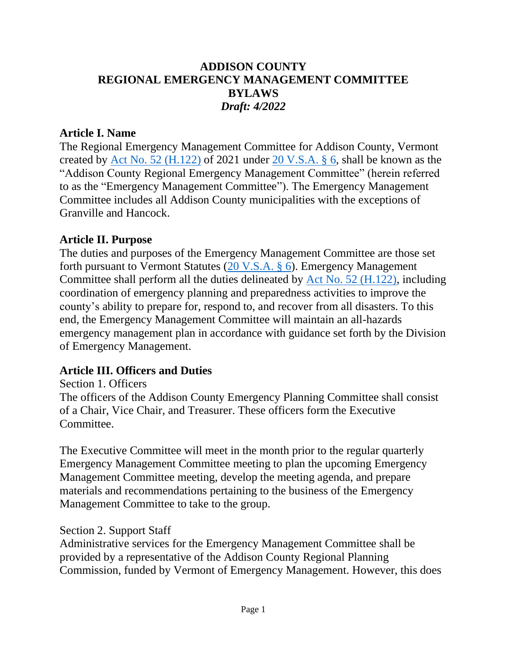## **ADDISON COUNTY REGIONAL EMERGENCY MANAGEMENT COMMITTEE BYLAWS** *Draft: 4/2022*

#### **Article I. Name**

The Regional Emergency Management Committee for Addison County, Vermont created by  $\underline{\text{Act No. 52 (H.122)}}$  of 2021 under  $\underline{\text{20 V.S.A. § 6}}$ , shall be known as the "Addison County Regional Emergency Management Committee" (herein referred to as the "Emergency Management Committee"). The Emergency Management Committee includes all Addison County municipalities with the exceptions of Granville and Hancock.

### **Article II. Purpose**

The duties and purposes of the Emergency Management Committee are those set forth pursuant to Vermont Statutes [\(20 V.S.A. §](about:blank) 6). Emergency Management Committee shall perform all the duties delineated by [Act No. 52 \(H.122\),](about:blank) including coordination of emergency planning and preparedness activities to improve the county's ability to prepare for, respond to, and recover from all disasters. To this end, the Emergency Management Committee will maintain an all-hazards emergency management plan in accordance with guidance set forth by the Division of Emergency Management.

### **Article III. Officers and Duties**

Section 1. Officers The officers of the Addison County Emergency Planning Committee shall consist of a Chair, Vice Chair, and Treasurer. These officers form the Executive Committee.

The Executive Committee will meet in the month prior to the regular quarterly Emergency Management Committee meeting to plan the upcoming Emergency Management Committee meeting, develop the meeting agenda, and prepare materials and recommendations pertaining to the business of the Emergency Management Committee to take to the group.

#### Section 2. Support Staff

Administrative services for the Emergency Management Committee shall be provided by a representative of the Addison County Regional Planning Commission, funded by Vermont of Emergency Management. However, this does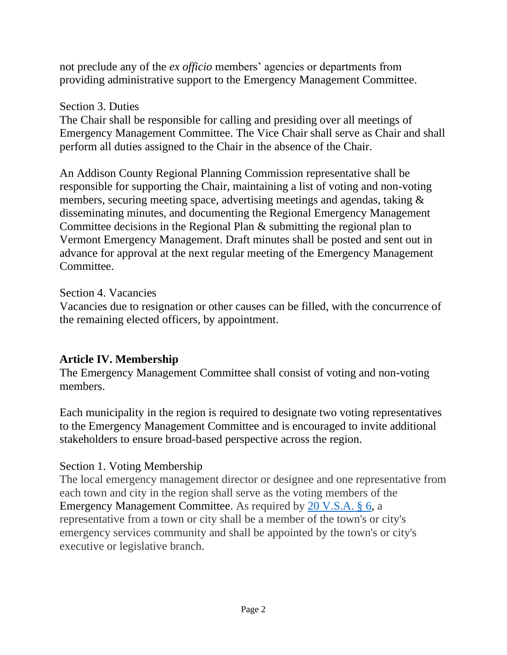not preclude any of the *ex officio* members' agencies or departments from providing administrative support to the Emergency Management Committee.

#### Section 3. Duties

The Chair shall be responsible for calling and presiding over all meetings of Emergency Management Committee. The Vice Chair shall serve as Chair and shall perform all duties assigned to the Chair in the absence of the Chair.

An Addison County Regional Planning Commission representative shall be responsible for supporting the Chair, maintaining a list of voting and non-voting members, securing meeting space, advertising meetings and agendas, taking & disseminating minutes, and documenting the Regional Emergency Management Committee decisions in the Regional Plan & submitting the regional plan to Vermont Emergency Management. Draft minutes shall be posted and sent out in advance for approval at the next regular meeting of the Emergency Management Committee.

### Section 4. Vacancies

Vacancies due to resignation or other causes can be filled, with the concurrence of the remaining elected officers, by appointment.

### **Article IV. Membership**

The Emergency Management Committee shall consist of voting and non-voting members.

Each municipality in the region is required to designate two voting representatives to the Emergency Management Committee and is encouraged to invite additional stakeholders to ensure broad-based perspective across the region.

### Section 1. Voting Membership

The local emergency management director or designee and one representative from each town and city in the region shall serve as the voting members of the Emergency Management Committee. As required by 20 V.S.A. § 6, a representative from a town or city shall be a member of the town's or city's emergency services community and shall be appointed by the town's or city's executive or legislative branch.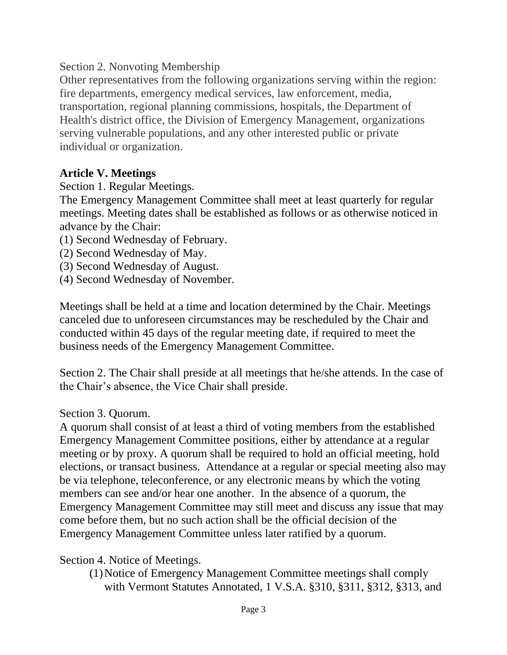Section 2. Nonvoting Membership

Other representatives from the following organizations serving within the region: fire departments, emergency medical services, law enforcement, media, transportation, regional planning commissions, hospitals, the Department of Health's district office, the Division of Emergency Management, organizations serving vulnerable populations, and any other interested public or private individual or organization.

# **Article V. Meetings**

Section 1. Regular Meetings.

The Emergency Management Committee shall meet at least quarterly for regular meetings. Meeting dates shall be established as follows or as otherwise noticed in advance by the Chair:

- (1) Second Wednesday of February.
- (2) Second Wednesday of May.
- (3) Second Wednesday of August.
- (4) Second Wednesday of November.

Meetings shall be held at a time and location determined by the Chair. Meetings canceled due to unforeseen circumstances may be rescheduled by the Chair and conducted within 45 days of the regular meeting date, if required to meet the business needs of the Emergency Management Committee.

Section 2. The Chair shall preside at all meetings that he/she attends. In the case of the Chair's absence, the Vice Chair shall preside.

Section 3. Quorum.

A quorum shall consist of at least a third of voting members from the established Emergency Management Committee positions, either by attendance at a regular meeting or by proxy. A quorum shall be required to hold an official meeting, hold elections, or transact business. Attendance at a regular or special meeting also may be via telephone, teleconference, or any electronic means by which the voting members can see and/or hear one another. In the absence of a quorum, the Emergency Management Committee may still meet and discuss any issue that may come before them, but no such action shall be the official decision of the Emergency Management Committee unless later ratified by a quorum.

Section 4. Notice of Meetings.

(1)Notice of Emergency Management Committee meetings shall comply with Vermont Statutes Annotated, 1 V.S.A. §310, §311, §312, §313, and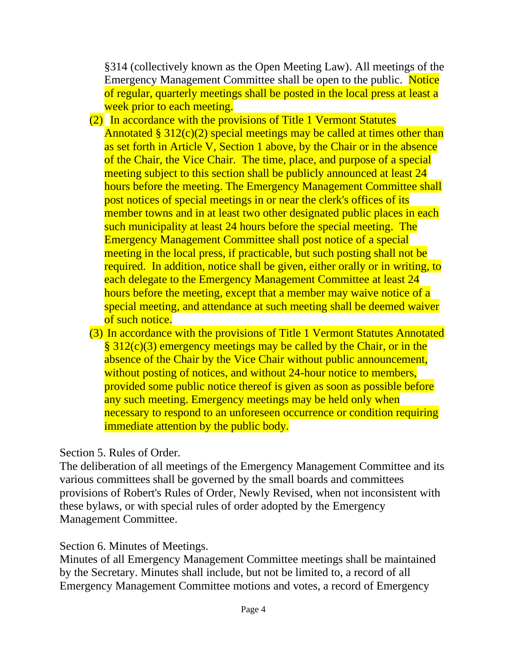§314 (collectively known as the Open Meeting Law). All meetings of the Emergency Management Committee shall be open to the public. Notice of regular, quarterly meetings shall be posted in the local press at least a week prior to each meeting.

- (2) In accordance with the provisions of Title 1 Vermont Statutes Annotated  $\S 312(c)(2)$  special meetings may be called at times other than as set forth in Article V, Section 1 above, by the Chair or in the absence of the Chair, the Vice Chair. The time, place, and purpose of a special meeting subject to this section shall be publicly announced at least 24 hours before the meeting. The Emergency Management Committee shall post notices of special meetings in or near the clerk's offices of its member towns and in at least two other designated public places in each such municipality at least 24 hours before the special meeting. The Emergency Management Committee shall post notice of a special meeting in the local press, if practicable, but such posting shall not be required. In addition, notice shall be given, either orally or in writing, to each delegate to the Emergency Management Committee at least 24 hours before the meeting, except that a member may waive notice of a special meeting, and attendance at such meeting shall be deemed waiver of such notice.
- (3) In accordance with the provisions of Title 1 Vermont Statutes Annotated § 312(c)(3) emergency meetings may be called by the Chair, or in the absence of the Chair by the Vice Chair without public announcement, without posting of notices, and without 24-hour notice to members, provided some public notice thereof is given as soon as possible before any such meeting. Emergency meetings may be held only when necessary to respond to an unforeseen occurrence or condition requiring immediate attention by the public body.

### Section 5. Rules of Order.

The deliberation of all meetings of the Emergency Management Committee and its various committees shall be governed by the small boards and committees provisions of Robert's Rules of Order, Newly Revised, when not inconsistent with these bylaws, or with special rules of order adopted by the Emergency Management Committee.

### Section 6. Minutes of Meetings.

Minutes of all Emergency Management Committee meetings shall be maintained by the Secretary. Minutes shall include, but not be limited to, a record of all Emergency Management Committee motions and votes, a record of Emergency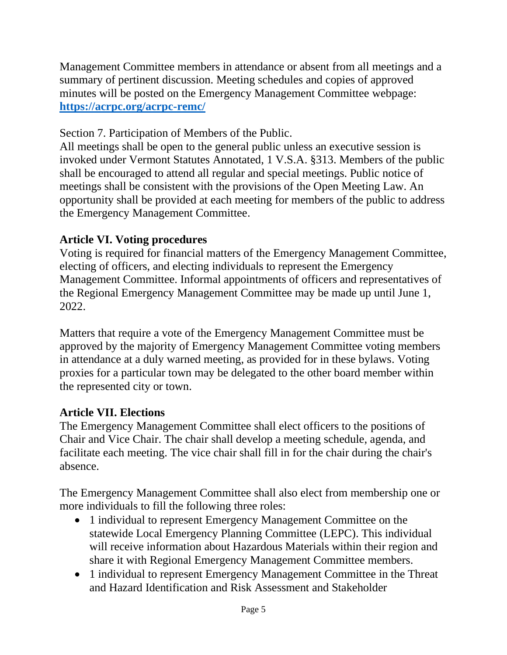Management Committee members in attendance or absent from all meetings and a summary of pertinent discussion. Meeting schedules and copies of approved minutes will be posted on the Emergency Management Committee webpage: **[https://acrpc.org/acrpc-remc/](about:blank)**

Section 7. Participation of Members of the Public.

All meetings shall be open to the general public unless an executive session is invoked under Vermont Statutes Annotated, 1 V.S.A. §313. Members of the public shall be encouraged to attend all regular and special meetings. Public notice of meetings shall be consistent with the provisions of the Open Meeting Law. An opportunity shall be provided at each meeting for members of the public to address the Emergency Management Committee.

# **Article VI. Voting procedures**

Voting is required for financial matters of the Emergency Management Committee, electing of officers, and electing individuals to represent the Emergency Management Committee. Informal appointments of officers and representatives of the Regional Emergency Management Committee may be made up until June 1, 2022.

Matters that require a vote of the Emergency Management Committee must be approved by the majority of Emergency Management Committee voting members in attendance at a duly warned meeting, as provided for in these bylaws. Voting proxies for a particular town may be delegated to the other board member within the represented city or town.

# **Article VII. Elections**

The Emergency Management Committee shall elect officers to the positions of Chair and Vice Chair. The chair shall develop a meeting schedule, agenda, and facilitate each meeting. The vice chair shall fill in for the chair during the chair's absence.

The Emergency Management Committee shall also elect from membership one or more individuals to fill the following three roles:

- 1 individual to represent Emergency Management Committee on the statewide Local Emergency Planning Committee (LEPC). This individual will receive information about Hazardous Materials within their region and share it with Regional Emergency Management Committee members.
- 1 individual to represent Emergency Management Committee in the Threat and Hazard Identification and Risk Assessment and Stakeholder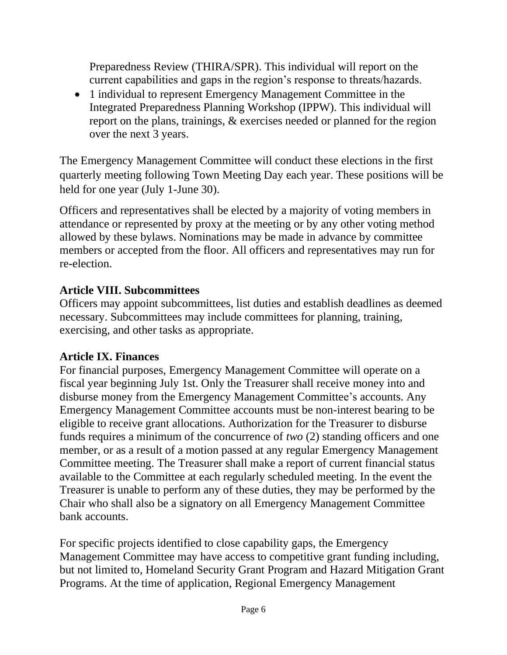Preparedness Review (THIRA/SPR). This individual will report on the current capabilities and gaps in the region's response to threats/hazards.

• 1 individual to represent Emergency Management Committee in the Integrated Preparedness Planning Workshop (IPPW). This individual will report on the plans, trainings, & exercises needed or planned for the region over the next 3 years.

The Emergency Management Committee will conduct these elections in the first quarterly meeting following Town Meeting Day each year. These positions will be held for one year (July 1-June 30).

Officers and representatives shall be elected by a majority of voting members in attendance or represented by proxy at the meeting or by any other voting method allowed by these bylaws. Nominations may be made in advance by committee members or accepted from the floor. All officers and representatives may run for re-election.

# **Article VIII. Subcommittees**

Officers may appoint subcommittees, list duties and establish deadlines as deemed necessary. Subcommittees may include committees for planning, training, exercising, and other tasks as appropriate.

# **Article IX. Finances**

For financial purposes, Emergency Management Committee will operate on a fiscal year beginning July 1st. Only the Treasurer shall receive money into and disburse money from the Emergency Management Committee's accounts. Any Emergency Management Committee accounts must be non-interest bearing to be eligible to receive grant allocations. Authorization for the Treasurer to disburse funds requires a minimum of the concurrence of *two* (2) standing officers and one member, or as a result of a motion passed at any regular Emergency Management Committee meeting. The Treasurer shall make a report of current financial status available to the Committee at each regularly scheduled meeting. In the event the Treasurer is unable to perform any of these duties, they may be performed by the Chair who shall also be a signatory on all Emergency Management Committee bank accounts.

For specific projects identified to close capability gaps, the Emergency Management Committee may have access to competitive grant funding including, but not limited to, Homeland Security Grant Program and Hazard Mitigation Grant Programs. At the time of application, Regional Emergency Management